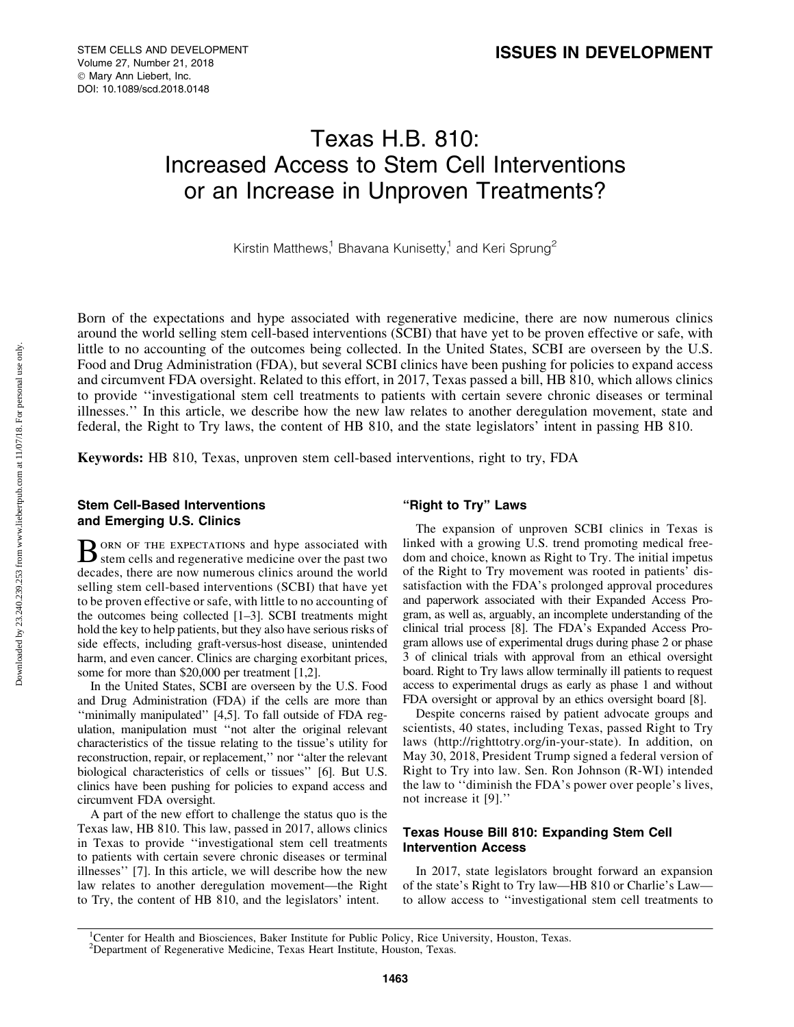# Texas H.B. 810: Increased Access to Stem Cell Interventions or an Increase in Unproven Treatments?

Kirstin Matthews,<sup>1</sup> Bhavana Kunisetty,<sup>1</sup> and Keri Sprung<sup>2</sup>

Born of the expectations and hype associated with regenerative medicine, there are now numerous clinics around the world selling stem cell-based interventions (SCBI) that have yet to be proven effective or safe, with little to no accounting of the outcomes being collected. In the United States, SCBI are overseen by the U.S. Food and Drug Administration (FDA), but several SCBI clinics have been pushing for policies to expand access and circumvent FDA oversight. Related to this effort, in 2017, Texas passed a bill, HB 810, which allows clinics to provide ''investigational stem cell treatments to patients with certain severe chronic diseases or terminal illnesses.'' In this article, we describe how the new law relates to another deregulation movement, state and federal, the Right to Try laws, the content of HB 810, and the state legislators' intent in passing HB 810.

Keywords: HB 810, Texas, unproven stem cell-based interventions, right to try, FDA

# Stem Cell-Based Interventions and Emerging U.S. Clinics

BORN OF THE EXPECTATIONS and hype associated with stem cells and regenerative medicine over the past two decades, there are now numerous clinics around the world selling stem cell-based interventions (SCBI) that have yet to be proven effective or safe, with little to no accounting of the outcomes being collected [1–3]. SCBI treatments might hold the key to help patients, but they also have serious risks of side effects, including graft-versus-host disease, unintended harm, and even cancer. Clinics are charging exorbitant prices, some for more than \$20,000 per treatment [1,2].

In the United States, SCBI are overseen by the U.S. Food and Drug Administration (FDA) if the cells are more than ''minimally manipulated'' [4,5]. To fall outside of FDA regulation, manipulation must ''not alter the original relevant characteristics of the tissue relating to the tissue's utility for reconstruction, repair, or replacement,'' nor ''alter the relevant biological characteristics of cells or tissues'' [6]. But U.S. clinics have been pushing for policies to expand access and circumvent FDA oversight.

A part of the new effort to challenge the status quo is the Texas law, HB 810. This law, passed in 2017, allows clinics in Texas to provide ''investigational stem cell treatments to patients with certain severe chronic diseases or terminal illnesses'' [7]. In this article, we will describe how the new law relates to another deregulation movement—the Right to Try, the content of HB 810, and the legislators' intent.

# ''Right to Try'' Laws

The expansion of unproven SCBI clinics in Texas is linked with a growing U.S. trend promoting medical freedom and choice, known as Right to Try. The initial impetus of the Right to Try movement was rooted in patients' dissatisfaction with the FDA's prolonged approval procedures and paperwork associated with their Expanded Access Program, as well as, arguably, an incomplete understanding of the clinical trial process [8]. The FDA's Expanded Access Program allows use of experimental drugs during phase 2 or phase 3 of clinical trials with approval from an ethical oversight board. Right to Try laws allow terminally ill patients to request access to experimental drugs as early as phase 1 and without FDA oversight or approval by an ethics oversight board [8].

Despite concerns raised by patient advocate groups and scientists, 40 states, including Texas, passed Right to Try laws ([http://righttotry.org/in-your-state\)](http://righttotry.org/in-your-state). In addition, on May 30, 2018, President Trump signed a federal version of Right to Try into law. Sen. Ron Johnson (R-WI) intended the law to ''diminish the FDA's power over people's lives, not increase it [9].''

# Texas House Bill 810: Expanding Stem Cell Intervention Access

In 2017, state legislators brought forward an expansion of the state's Right to Try law—HB 810 or Charlie's Law to allow access to ''investigational stem cell treatments to

<sup>&</sup>lt;sup>1</sup>Center for Health and Biosciences, Baker Institute for Public Policy, Rice University, Houston, Texas.

<sup>&</sup>lt;sup>2</sup>Department of Regenerative Medicine, Texas Heart Institute, Houston, Texas.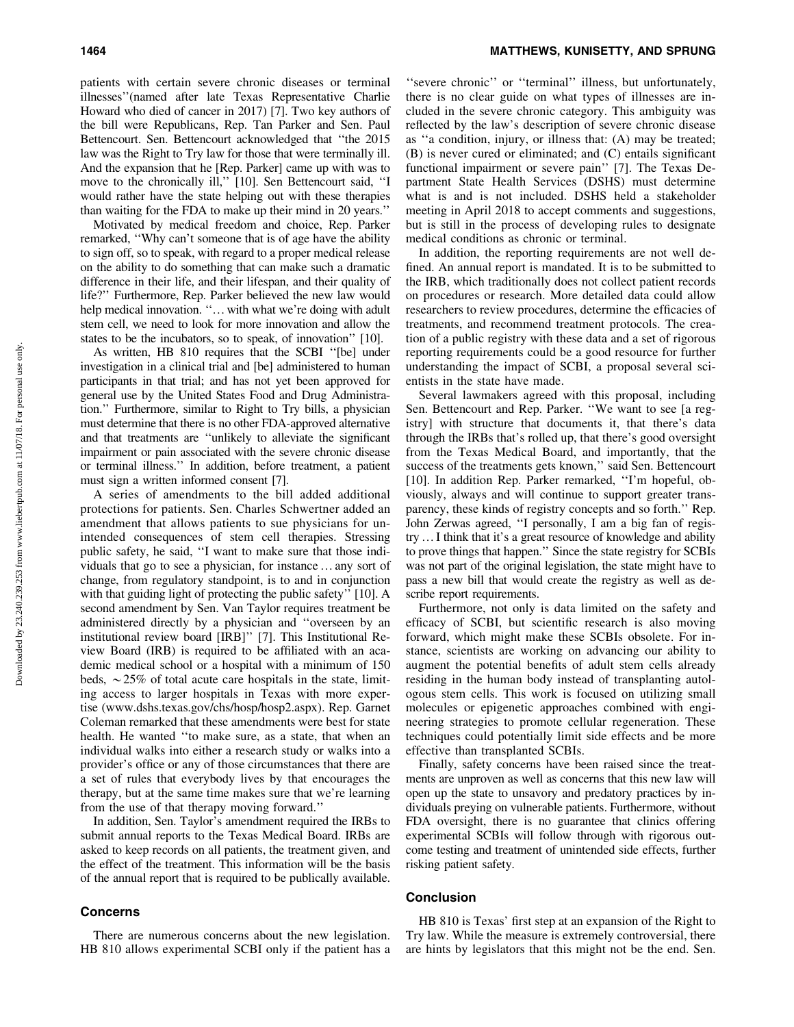patients with certain severe chronic diseases or terminal illnesses''(named after late Texas Representative Charlie Howard who died of cancer in 2017) [7]. Two key authors of the bill were Republicans, Rep. Tan Parker and Sen. Paul Bettencourt. Sen. Bettencourt acknowledged that ''the 2015 law was the Right to Try law for those that were terminally ill. And the expansion that he [Rep. Parker] came up with was to move to the chronically ill,'' [10]. Sen Bettencourt said, ''I would rather have the state helping out with these therapies than waiting for the FDA to make up their mind in 20 years.''

Motivated by medical freedom and choice, Rep. Parker remarked, ''Why can't someone that is of age have the ability to sign off, so to speak, with regard to a proper medical release on the ability to do something that can make such a dramatic difference in their life, and their lifespan, and their quality of life?'' Furthermore, Rep. Parker believed the new law would help medical innovation. "... with what we're doing with adult stem cell, we need to look for more innovation and allow the states to be the incubators, so to speak, of innovation'' [10].

As written, HB 810 requires that the SCBI ''[be] under investigation in a clinical trial and [be] administered to human participants in that trial; and has not yet been approved for general use by the United States Food and Drug Administration.'' Furthermore, similar to Right to Try bills, a physician must determine that there is no other FDA-approved alternative and that treatments are ''unlikely to alleviate the significant impairment or pain associated with the severe chronic disease or terminal illness.'' In addition, before treatment, a patient must sign a written informed consent [7].

A series of amendments to the bill added additional protections for patients. Sen. Charles Schwertner added an amendment that allows patients to sue physicians for unintended consequences of stem cell therapies. Stressing public safety, he said, ''I want to make sure that those individuals that go to see a physician, for instance... any sort of change, from regulatory standpoint, is to and in conjunction with that guiding light of protecting the public safety'' [10]. A second amendment by Sen. Van Taylor requires treatment be administered directly by a physician and ''overseen by an institutional review board [IRB]'' [7]. This Institutional Review Board (IRB) is required to be affiliated with an academic medical school or a hospital with a minimum of 150 beds,  $\sim$  25% of total acute care hospitals in the state, limiting access to larger hospitals in Texas with more expertise ([www.dshs.texas.gov/chs/hosp/hosp2.aspx\)](http://www.dshs.texas.gov/chs/hosp/hosp2.aspx). Rep. Garnet Coleman remarked that these amendments were best for state health. He wanted ''to make sure, as a state, that when an individual walks into either a research study or walks into a provider's office or any of those circumstances that there are a set of rules that everybody lives by that encourages the therapy, but at the same time makes sure that we're learning from the use of that therapy moving forward.''

In addition, Sen. Taylor's amendment required the IRBs to submit annual reports to the Texas Medical Board. IRBs are asked to keep records on all patients, the treatment given, and the effect of the treatment. This information will be the basis of the annual report that is required to be publically available.

## Concerns

There are numerous concerns about the new legislation. HB 810 allows experimental SCBI only if the patient has a "severe chronic" or "terminal" illness, but unfortunately, there is no clear guide on what types of illnesses are included in the severe chronic category. This ambiguity was reflected by the law's description of severe chronic disease as ''a condition, injury, or illness that: (A) may be treated; (B) is never cured or eliminated; and (C) entails significant functional impairment or severe pain'' [7]. The Texas Department State Health Services (DSHS) must determine what is and is not included. DSHS held a stakeholder meeting in April 2018 to accept comments and suggestions, but is still in the process of developing rules to designate medical conditions as chronic or terminal.

In addition, the reporting requirements are not well defined. An annual report is mandated. It is to be submitted to the IRB, which traditionally does not collect patient records on procedures or research. More detailed data could allow researchers to review procedures, determine the efficacies of treatments, and recommend treatment protocols. The creation of a public registry with these data and a set of rigorous reporting requirements could be a good resource for further understanding the impact of SCBI, a proposal several scientists in the state have made.

Several lawmakers agreed with this proposal, including Sen. Bettencourt and Rep. Parker. ''We want to see [a registry] with structure that documents it, that there's data through the IRBs that's rolled up, that there's good oversight from the Texas Medical Board, and importantly, that the success of the treatments gets known," said Sen. Bettencourt [10]. In addition Rep. Parker remarked, "I'm hopeful, obviously, always and will continue to support greater transparency, these kinds of registry concepts and so forth.'' Rep. John Zerwas agreed, ''I personally, I am a big fan of registry... I think that it's a great resource of knowledge and ability to prove things that happen.'' Since the state registry for SCBIs was not part of the original legislation, the state might have to pass a new bill that would create the registry as well as describe report requirements.

Furthermore, not only is data limited on the safety and efficacy of SCBI, but scientific research is also moving forward, which might make these SCBIs obsolete. For instance, scientists are working on advancing our ability to augment the potential benefits of adult stem cells already residing in the human body instead of transplanting autologous stem cells. This work is focused on utilizing small molecules or epigenetic approaches combined with engineering strategies to promote cellular regeneration. These techniques could potentially limit side effects and be more effective than transplanted SCBIs.

Finally, safety concerns have been raised since the treatments are unproven as well as concerns that this new law will open up the state to unsavory and predatory practices by individuals preying on vulnerable patients. Furthermore, without FDA oversight, there is no guarantee that clinics offering experimental SCBIs will follow through with rigorous outcome testing and treatment of unintended side effects, further risking patient safety.

## **Conclusion**

HB 810 is Texas' first step at an expansion of the Right to Try law. While the measure is extremely controversial, there are hints by legislators that this might not be the end. Sen.